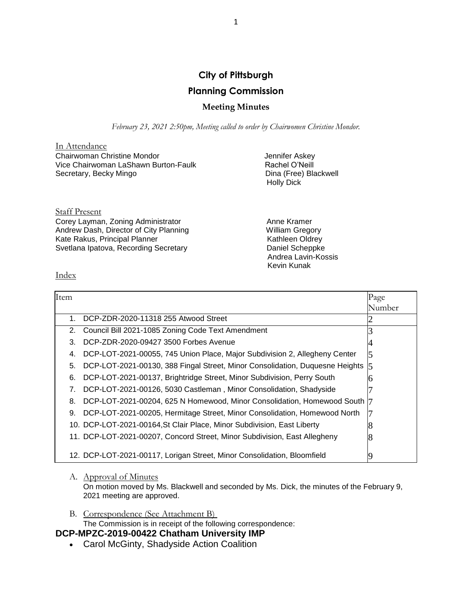# **City of Pittsburgh Planning Commission**

## **Meeting Minutes**

*February 23, 2021 2:50pm, Meeting called to order by Chairwomen Christine Mondor.*

In Attendance Chairwoman Christine Mondor<br>
Vice Chairwoman LaShawn Burton-Faulk<br>
Tachel O'Neill Vice Chairwoman LaShawn Burton-Faulk Secretary, Becky Mingo **Dina (Free)** Blackwell

Holly Dick

Staff Present Corey Layman, Zoning Administrator **Anne Kramer** Anne Kramer Andrew Dash, Director of City Planning<br>
Kate Rakus, Principal Planner<br>
Kathleen Oldrey Kate Rakus, Principal Planner Svetlana Ipatova, Recording Secretary **Daniel Scheppke** 

 Andrea Lavin-Kossis Kevin Kunak

Index

| Item |                                                                                  | Page   |
|------|----------------------------------------------------------------------------------|--------|
|      |                                                                                  | Number |
| 1.   | DCP-ZDR-2020-11318 255 Atwood Street                                             |        |
| 2.   | Council Bill 2021-1085 Zoning Code Text Amendment                                |        |
| 3.   | DCP-ZDR-2020-09427 3500 Forbes Avenue                                            |        |
| 4.   | DCP-LOT-2021-00055, 745 Union Place, Major Subdivision 2, Allegheny Center       |        |
| 5.   | DCP-LOT-2021-00130, 388 Fingal Street, Minor Consolidation, Duquesne Heights [5] |        |
| 6.   | DCP-LOT-2021-00137, Brightridge Street, Minor Subdivision, Perry South           |        |
| 7.   | DCP-LOT-2021-00126, 5030 Castleman, Minor Consolidation, Shadyside               |        |
| 8.   | DCP-LOT-2021-00204, 625 N Homewood, Minor Consolidation, Homewood South  7       |        |
| 9.   | DCP-LOT-2021-00205, Hermitage Street, Minor Consolidation, Homewood North        |        |
|      | 10. DCP-LOT-2021-00164, St Clair Place, Minor Subdivision, East Liberty          |        |
|      | 11. DCP-LOT-2021-00207, Concord Street, Minor Subdivision, East Allegheny        |        |
|      | 12. DCP-LOT-2021-00117, Lorigan Street, Minor Consolidation, Bloomfield          |        |

#### A. Approval of Minutes

On motion moved by Ms. Blackwell and seconded by Ms. Dick, the minutes of the February 9, 2021 meeting are approved.

B. Correspondence (See Attachment B) The Commission is in receipt of the following correspondence:

# **DCP-MPZC-2019-00422 Chatham University IMP**

Carol McGinty, Shadyside Action Coalition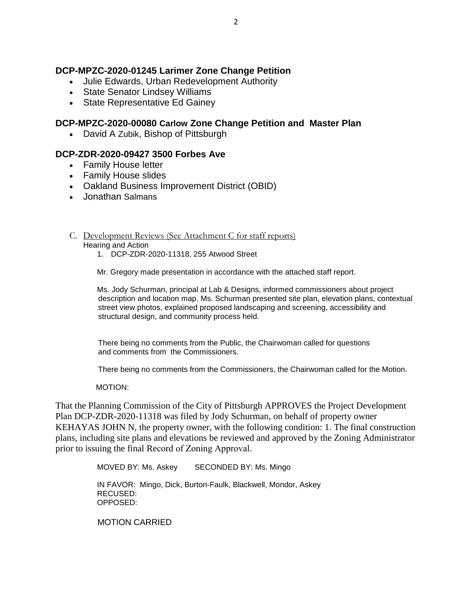# **DCP-MPZC-2020-01245 Larimer Zone Change Petition**

- Julie Edwards, Urban Redevelopment Authority
- State Senator Lindsey Williams
- State Representative Ed Gainey

## **DCP-MPZC-2020-00080 Carlow Zone Change Petition and Master Plan**

• David A Zubik, Bishop of Pittsburgh

## **DCP-ZDR-2020-09427 3500 Forbes Ave**

- Family House letter
- Family House slides
- Oakland Business Improvement District (OBID)
- Jonathan Salmans
- C. Development Reviews (See Attachment C for staff reports)

#### Hearing and Action

1. DCP-ZDR-2020-11318, 255 Atwood Street

Mr. Gregory made presentation in accordance with the attached staff report.

Ms. Jody Schurman, principal at Lab & Designs, informed commissioners about project description and location map. Ms. Schurman presented site plan, elevation plans, contextual street view photos, explained proposed landscaping and screening, accessibility and structural design, and community process held.

 There being no comments from the Public, the Chairwoman called for questions and comments from the Commissioners.

There being no comments from the Commissioners, the Chairwoman called for the Motion.

#### MOTION:

That the Planning Commission of the City of Pittsburgh APPROVES the Project Development Plan DCP-ZDR-2020-11318 was filed by Jody Schurman, on behalf of property owner KEHAYAS JOHN N, the property owner, with the following condition: 1. The final construction plans, including site plans and elevations be reviewed and approved by the Zoning Administrator prior to issuing the final Record of Zoning Approval. 

MOVED BY: Ms. Askey SECONDED BY: Ms. Mingo

IN FAVOR: Mingo, Dick, Burton-Faulk, Blackwell, Mondor, Askey RECUSED: OPPOSED:

MOTION CARRIED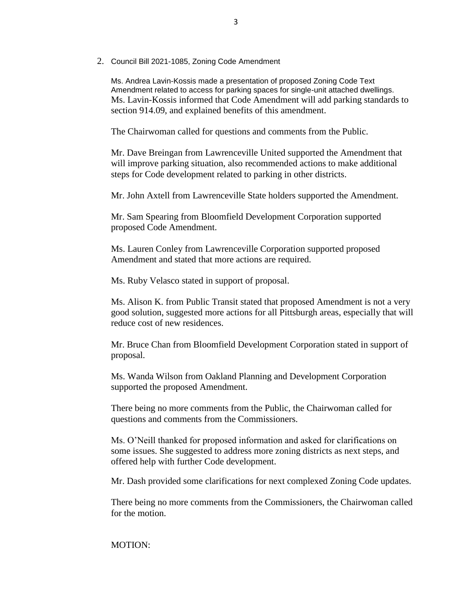2. Council Bill 2021-1085, Zoning Code Amendment

Ms. Andrea Lavin-Kossis made a presentation of proposed Zoning Code Text Amendment related to access for parking spaces for single-unit attached dwellings. Ms. Lavin-Kossis informed that Code Amendment will add parking standards to section 914.09, and explained benefits of this amendment.

The Chairwoman called for questions and comments from the Public.

Mr. Dave Breingan from Lawrenceville United supported the Amendment that will improve parking situation, also recommended actions to make additional steps for Code development related to parking in other districts.

Mr. John Axtell from Lawrenceville State holders supported the Amendment.

Mr. Sam Spearing from Bloomfield Development Corporation supported proposed Code Amendment.

Ms. Lauren Conley from Lawrenceville Corporation supported proposed Amendment and stated that more actions are required.

Ms. Ruby Velasco stated in support of proposal.

Ms. Alison K. from Public Transit stated that proposed Amendment is not a very good solution, suggested more actions for all Pittsburgh areas, especially that will reduce cost of new residences.

Mr. Bruce Chan from Bloomfield Development Corporation stated in support of proposal.

Ms. Wanda Wilson from Oakland Planning and Development Corporation supported the proposed Amendment.

There being no more comments from the Public, the Chairwoman called for questions and comments from the Commissioners.

Ms. O'Neill thanked for proposed information and asked for clarifications on some issues. She suggested to address more zoning districts as next steps, and offered help with further Code development.

Mr. Dash provided some clarifications for next complexed Zoning Code updates.

There being no more comments from the Commissioners, the Chairwoman called for the motion.

### MOTION: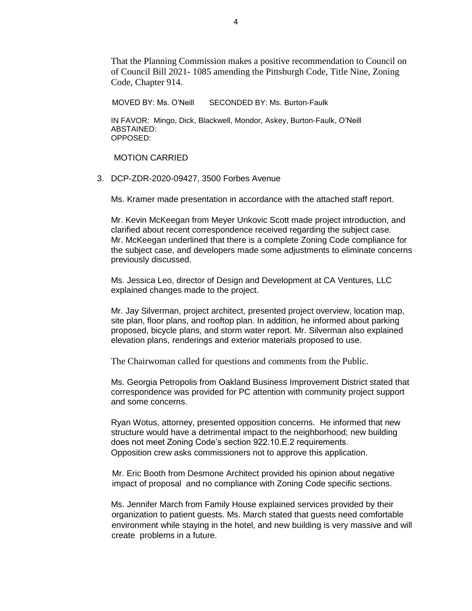That the Planning Commission makes a positive recommendation to Council on of Council Bill 2021- 1085 amending the Pittsburgh Code, Title Nine, Zoning Code, Chapter 914.

MOVED BY: Ms. O'Neill SECONDED BY: Ms. Burton-Faulk

IN FAVOR: Mingo, Dick, Blackwell, Mondor, Askey, Burton-Faulk, O'Neill ABSTAINED: OPPOSED:

MOTION CARRIED

3. DCP-ZDR-2020-09427, 3500 Forbes Avenue

Ms. Kramer made presentation in accordance with the attached staff report.

Mr. Kevin McKeegan from Meyer Unkovic Scott made project introduction, and clarified about recent correspondence received regarding the subject case. Mr. McKeegan underlined that there is a complete Zoning Code compliance for the subject case, and developers made some adjustments to eliminate concerns previously discussed.

Ms. Jessica Leo, director of Design and Development at CA Ventures, LLC explained changes made to the project.

Mr. Jay Silverman, project architect, presented project overview, location map, site plan, floor plans, and rooftop plan. In addition, he informed about parking proposed, bicycle plans, and storm water report. Mr. Silverman also explained elevation plans, renderings and exterior materials proposed to use.

The Chairwoman called for questions and comments from the Public.

Ms. Georgia Petropolis from Oakland Business Improvement District stated that correspondence was provided for PC attention with community project support and some concerns.

Ryan Wotus, attorney, presented opposition concerns. He informed that new structure would have a detrimental impact to the neighborhood; new building does not meet Zoning Code's section 922.10.E.2 requirements. Opposition crew asks commissioners not to approve this application.

 Mr. Eric Booth from Desmone Architect provided his opinion about negative impact of proposal and no compliance with Zoning Code specific sections.

Ms. Jennifer March from Family House explained services provided by their organization to patient guests. Ms. March stated that guests need comfortable environment while staying in the hotel, and new building is very massive and will create problems in a future.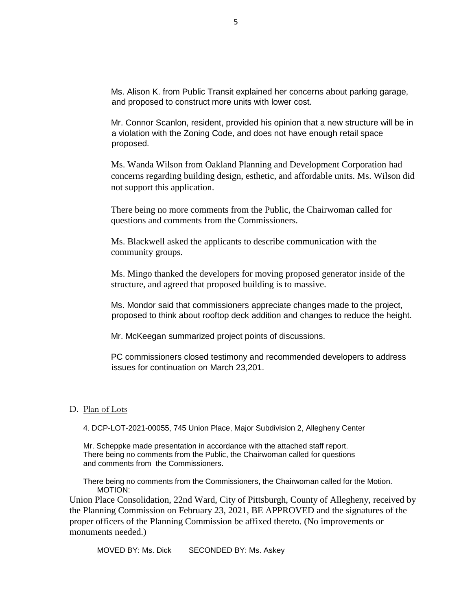Ms. Alison K. from Public Transit explained her concerns about parking garage, and proposed to construct more units with lower cost.

Mr. Connor Scanlon, resident, provided his opinion that a new structure will be in a violation with the Zoning Code, and does not have enough retail space proposed.

Ms. Wanda Wilson from Oakland Planning and Development Corporation had concerns regarding building design, esthetic, and affordable units. Ms. Wilson did not support this application.

There being no more comments from the Public, the Chairwoman called for questions and comments from the Commissioners.

Ms. Blackwell asked the applicants to describe communication with the community groups.

Ms. Mingo thanked the developers for moving proposed generator inside of the structure, and agreed that proposed building is to massive.

Ms. Mondor said that commissioners appreciate changes made to the project, proposed to think about rooftop deck addition and changes to reduce the height.

Mr. McKeegan summarized project points of discussions.

PC commissioners closed testimony and recommended developers to address issues for continuation on March 23,201.

#### D. Plan of Lots

4. DCP-LOT-2021-00055, 745 Union Place, Major Subdivision 2, Allegheny Center

Mr. Scheppke made presentation in accordance with the attached staff report. There being no comments from the Public, the Chairwoman called for questions and comments from the Commissioners.

There being no comments from the Commissioners, the Chairwoman called for the Motion. MOTION:

Union Place Consolidation, 22nd Ward, City of Pittsburgh, County of Allegheny, received by the Planning Commission on February 23, 2021, BE APPROVED and the signatures of the proper officers of the Planning Commission be affixed thereto. (No improvements or monuments needed.)

MOVED BY: Ms. Dick SECONDED BY: Ms. Askey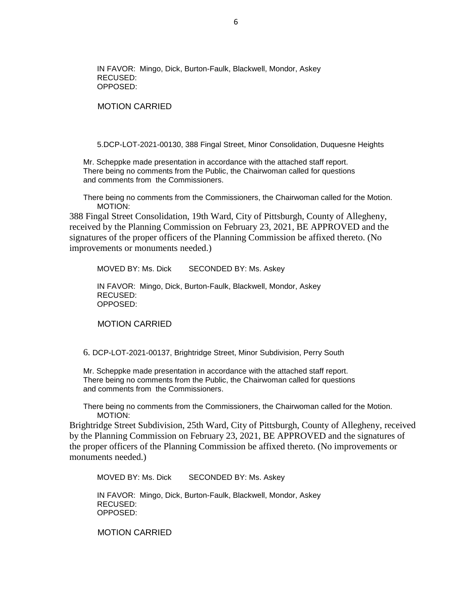IN FAVOR: Mingo, Dick, Burton-Faulk, Blackwell, Mondor, Askey RECUSED: OPPOSED:

MOTION CARRIED

5.DCP-LOT-2021-00130, 388 Fingal Street, Minor Consolidation, Duquesne Heights

Mr. Scheppke made presentation in accordance with the attached staff report. There being no comments from the Public, the Chairwoman called for questions and comments from the Commissioners.

There being no comments from the Commissioners, the Chairwoman called for the Motion. MOTION:

388 Fingal Street Consolidation, 19th Ward, City of Pittsburgh, County of Allegheny, received by the Planning Commission on February 23, 2021, BE APPROVED and the signatures of the proper officers of the Planning Commission be affixed thereto. (No improvements or monuments needed.)

MOVED BY: Ms. Dick SECONDED BY: Ms. Askey

IN FAVOR: Mingo, Dick, Burton-Faulk, Blackwell, Mondor, Askey RECUSED: OPPOSED:

MOTION CARRIED

6. DCP-LOT-2021-00137, Brightridge Street, Minor Subdivision, Perry South

Mr. Scheppke made presentation in accordance with the attached staff report. There being no comments from the Public, the Chairwoman called for questions and comments from the Commissioners.

There being no comments from the Commissioners, the Chairwoman called for the Motion. MOTION:

Brightridge Street Subdivision, 25th Ward, City of Pittsburgh, County of Allegheny, received by the Planning Commission on February 23, 2021, BE APPROVED and the signatures of the proper officers of the Planning Commission be affixed thereto. (No improvements or monuments needed.)

MOVED BY: Ms. Dick SECONDED BY: Ms. Askey

IN FAVOR: Mingo, Dick, Burton-Faulk, Blackwell, Mondor, Askey RECUSED: OPPOSED:

MOTION CARRIED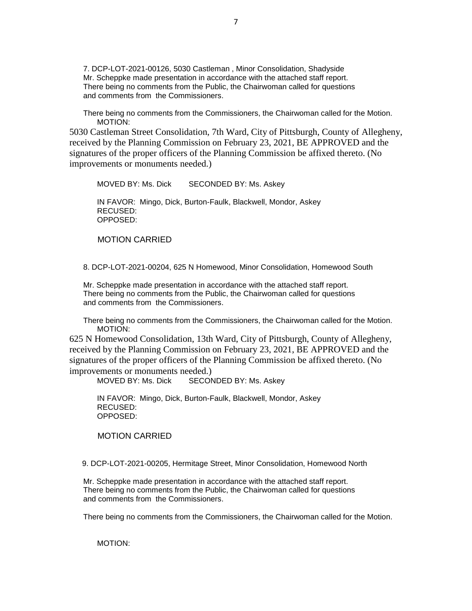7. DCP-LOT-2021-00126, 5030 Castleman , Minor Consolidation, Shadyside Mr. Scheppke made presentation in accordance with the attached staff report. There being no comments from the Public, the Chairwoman called for questions and comments from the Commissioners.

There being no comments from the Commissioners, the Chairwoman called for the Motion. MOTION:

5030 Castleman Street Consolidation, 7th Ward, City of Pittsburgh, County of Allegheny, received by the Planning Commission on February 23, 2021, BE APPROVED and the signatures of the proper officers of the Planning Commission be affixed thereto. (No improvements or monuments needed.)

MOVED BY: Ms. Dick SECONDED BY: Ms. Askey IN FAVOR: Mingo, Dick, Burton-Faulk, Blackwell, Mondor, Askey RECUSED: OPPOSED:

MOTION CARRIED

8. DCP-LOT-2021-00204, 625 N Homewood, Minor Consolidation, Homewood South

Mr. Scheppke made presentation in accordance with the attached staff report. There being no comments from the Public, the Chairwoman called for questions and comments from the Commissioners.

There being no comments from the Commissioners, the Chairwoman called for the Motion. MOTION:

625 N Homewood Consolidation, 13th Ward, City of Pittsburgh, County of Allegheny, received by the Planning Commission on February 23, 2021, BE APPROVED and the signatures of the proper officers of the Planning Commission be affixed thereto. (No improvements or monuments needed.)

MOVED BY: Ms. Dick SECONDED BY: Ms. Askey

IN FAVOR: Mingo, Dick, Burton-Faulk, Blackwell, Mondor, Askey RECUSED: OPPOSED:

MOTION CARRIED

9. DCP-LOT-2021-00205, Hermitage Street, Minor Consolidation, Homewood North

Mr. Scheppke made presentation in accordance with the attached staff report. There being no comments from the Public, the Chairwoman called for questions and comments from the Commissioners.

There being no comments from the Commissioners, the Chairwoman called for the Motion.

MOTION: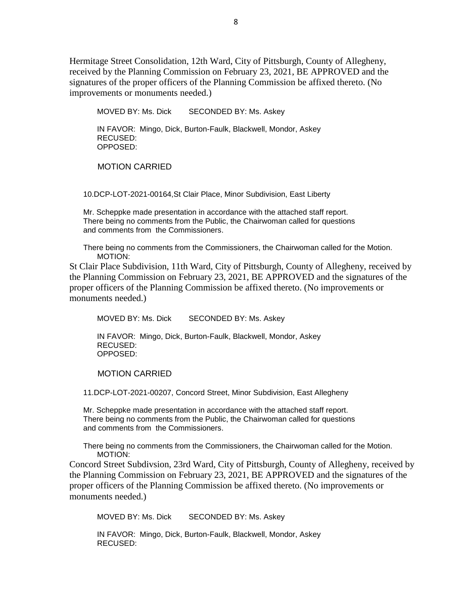Hermitage Street Consolidation, 12th Ward, City of Pittsburgh, County of Allegheny, received by the Planning Commission on February 23, 2021, BE APPROVED and the signatures of the proper officers of the Planning Commission be affixed thereto. (No improvements or monuments needed.)

MOVED BY: Ms. Dick SECONDED BY: Ms. Askey IN FAVOR: Mingo, Dick, Burton-Faulk, Blackwell, Mondor, Askey RECUSED: OPPOSED:

MOTION CARRIED

10.DCP-LOT-2021-00164,St Clair Place, Minor Subdivision, East Liberty

Mr. Scheppke made presentation in accordance with the attached staff report. There being no comments from the Public, the Chairwoman called for questions and comments from the Commissioners.

There being no comments from the Commissioners, the Chairwoman called for the Motion. MOTION:

St Clair Place Subdivision, 11th Ward, City of Pittsburgh, County of Allegheny, received by the Planning Commission on February 23, 2021, BE APPROVED and the signatures of the proper officers of the Planning Commission be affixed thereto. (No improvements or monuments needed.)

MOVED BY: Ms. Dick SECONDED BY: Ms. Askey IN FAVOR: Mingo, Dick, Burton-Faulk, Blackwell, Mondor, Askey RECUSED: OPPOSED:

MOTION CARRIED

11.DCP-LOT-2021-00207, Concord Street, Minor Subdivision, East Allegheny

Mr. Scheppke made presentation in accordance with the attached staff report. There being no comments from the Public, the Chairwoman called for questions and comments from the Commissioners.

There being no comments from the Commissioners, the Chairwoman called for the Motion. MOTION:

Concord Street Subdivsion, 23rd Ward, City of Pittsburgh, County of Allegheny, received by the Planning Commission on February 23, 2021, BE APPROVED and the signatures of the proper officers of the Planning Commission be affixed thereto. (No improvements or monuments needed.)

MOVED BY: Ms. Dick SECONDED BY: Ms. Askey

IN FAVOR: Mingo, Dick, Burton-Faulk, Blackwell, Mondor, Askey RECUSED: